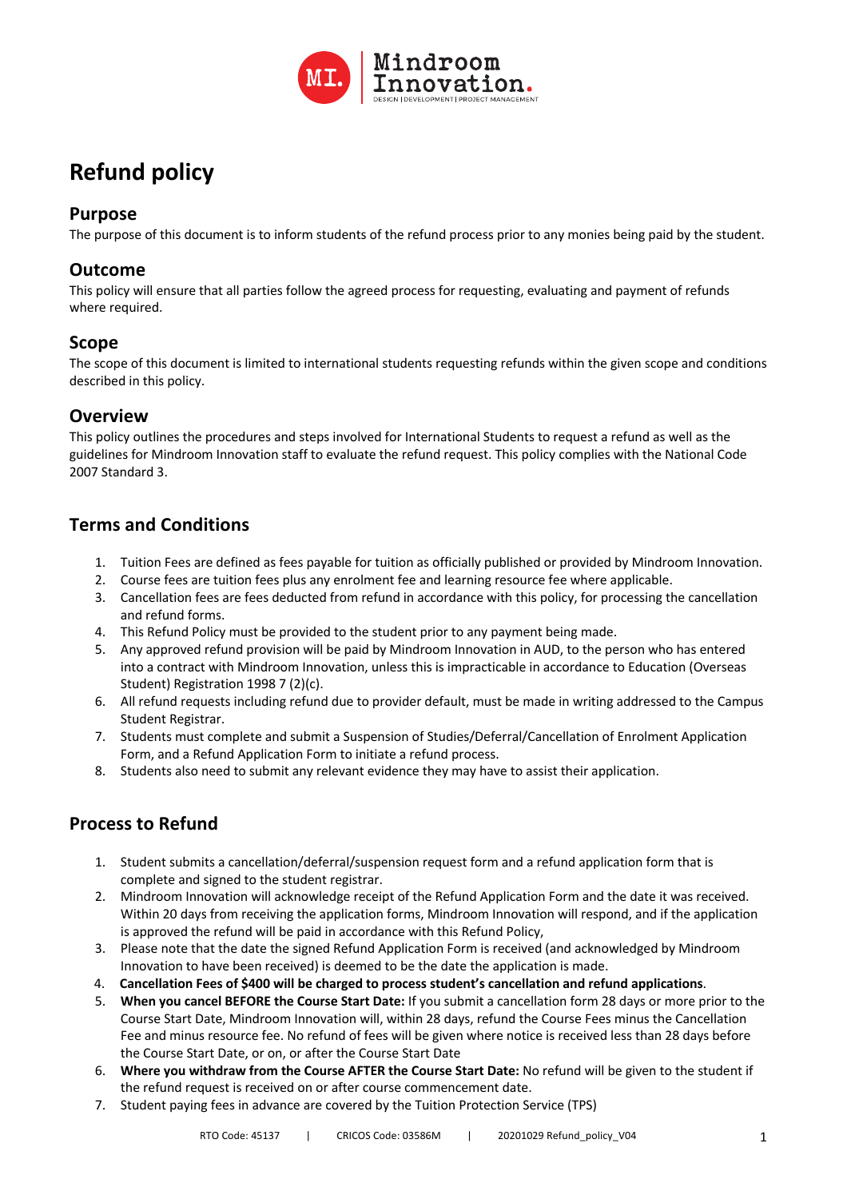

# **Refund policy**

#### **Purpose**

The purpose of this document is to inform students of the refund process prior to any monies being paid by the student.

#### **Outcome**

This policy will ensure that all parties follow the agreed process for requesting, evaluating and payment of refunds where required.

#### **Scope**

The scope of this document is limited to international students requesting refunds within the given scope and conditions described in this policy.

### **Overview**

This policy outlines the procedures and steps involved for International Students to request a refund as well as the guidelines for Mindroom Innovation staff to evaluate the refund request. This policy complies with the National Code 2007 Standard 3.

# **Terms and Conditions**

- 1. Tuition Fees are defined as fees payable for tuition as officially published or provided by Mindroom Innovation.
- 2. Course fees are tuition fees plus any enrolment fee and learning resource fee where applicable.
- 3. Cancellation fees are fees deducted from refund in accordance with this policy, for processing the cancellation and refund forms.
- 4. This Refund Policy must be provided to the student prior to any payment being made.
- 5. Any approved refund provision will be paid by Mindroom Innovation in AUD, to the person who has entered into a contract with Mindroom Innovation, unless this is impracticable in accordance to Education (Overseas Student) Registration 1998 7 (2)(c).
- 6. All refund requests including refund due to provider default, must be made in writing addressed to the Campus Student Registrar.
- 7. Students must complete and submit a Suspension of Studies/Deferral/Cancellation of Enrolment Application Form, and a Refund Application Form to initiate a refund process.
- 8. Students also need to submit any relevant evidence they may have to assist their application.

# **Process to Refund**

- 1. Student submits a cancellation/deferral/suspension request form and a refund application form that is complete and signed to the student registrar.
- 2. Mindroom Innovation will acknowledge receipt of the Refund Application Form and the date it was received. Within 20 days from receiving the application forms, Mindroom Innovation will respond, and if the application is approved the refund will be paid in accordance with this Refund Policy,
- 3. Please note that the date the signed Refund Application Form is received (and acknowledged by Mindroom Innovation to have been received) is deemed to be the date the application is made.
- 4. **Cancellation Fees of \$400 will be charged to process student's cancellation and refund applications**.
- 5. **When you cancel BEFORE the Course Start Date:** If you submit a cancellation form 28 days or more prior to the Course Start Date, Mindroom Innovation will, within 28 days, refund the Course Fees minus the Cancellation Fee and minus resource fee. No refund of fees will be given where notice is received less than 28 days before the Course Start Date, or on, or after the Course Start Date
- 6. **Where you withdraw from the Course AFTER the Course Start Date:** No refund will be given to the student if the refund request is received on or after course commencement date.
- 7. Student paying fees in advance are covered by the Tuition Protection Service (TPS)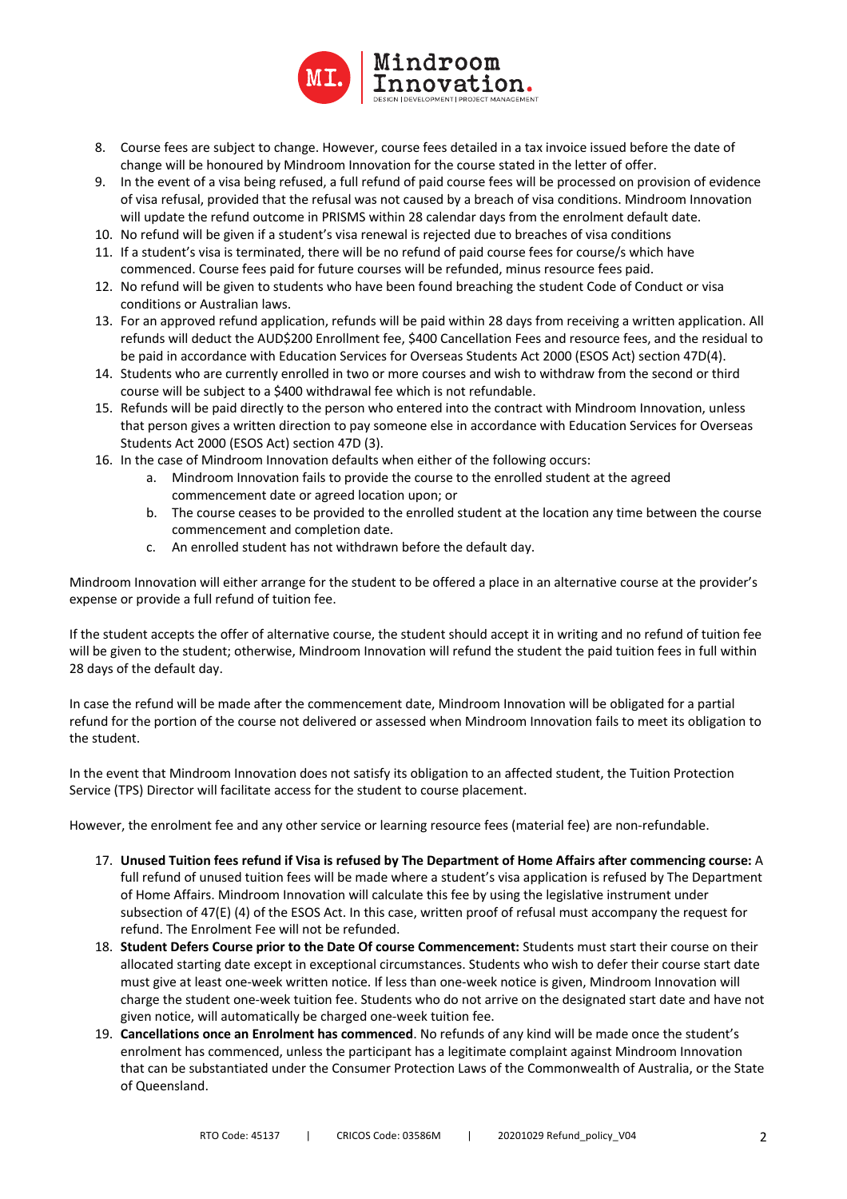

- 8. Course fees are subject to change. However, course fees detailed in a tax invoice issued before the date of change will be honoured by Mindroom Innovation for the course stated in the letter of offer.
- 9. In the event of a visa being refused, a full refund of paid course fees will be processed on provision of evidence of visa refusal, provided that the refusal was not caused by a breach of visa conditions. Mindroom Innovation will update the refund outcome in PRISMS within 28 calendar days from the enrolment default date.
- 10. No refund will be given if a student's visa renewal is rejected due to breaches of visa conditions
- 11. If a student's visa is terminated, there will be no refund of paid course fees for course/s which have commenced. Course fees paid for future courses will be refunded, minus resource fees paid.
- 12. No refund will be given to students who have been found breaching the student Code of Conduct or visa conditions or Australian laws.
- 13. For an approved refund application, refunds will be paid within 28 days from receiving a written application. All refunds will deduct the AUD\$200 Enrollment fee, \$400 Cancellation Fees and resource fees, and the residual to be paid in accordance with Education Services for Overseas Students Act 2000 (ESOS Act) section 47D(4).
- 14. Students who are currently enrolled in two or more courses and wish to withdraw from the second or third course will be subject to a \$400 withdrawal fee which is not refundable.
- 15. Refunds will be paid directly to the person who entered into the contract with Mindroom Innovation, unless that person gives a written direction to pay someone else in accordance with Education Services for Overseas Students Act 2000 (ESOS Act) section 47D (3).
- 16. In the case of Mindroom Innovation defaults when either of the following occurs:
	- a. Mindroom Innovation fails to provide the course to the enrolled student at the agreed commencement date or agreed location upon; or
	- b. The course ceases to be provided to the enrolled student at the location any time between the course commencement and completion date.
	- c. An enrolled student has not withdrawn before the default day.

Mindroom Innovation will either arrange for the student to be offered a place in an alternative course at the provider's expense or provide a full refund of tuition fee.

If the student accepts the offer of alternative course, the student should accept it in writing and no refund of tuition fee will be given to the student; otherwise, Mindroom Innovation will refund the student the paid tuition fees in full within 28 days of the default day.

In case the refund will be made after the commencement date, Mindroom Innovation will be obligated for a partial refund for the portion of the course not delivered or assessed when Mindroom Innovation fails to meet its obligation to the student.

In the event that Mindroom Innovation does not satisfy its obligation to an affected student, the Tuition Protection Service (TPS) Director will facilitate access for the student to course placement.

However, the enrolment fee and any other service or learning resource fees (material fee) are non-refundable.

- 17. **Unused Tuition fees refund if Visa is refused by The Department of Home Affairs after commencing course:** A full refund of unused tuition fees will be made where a student's visa application is refused by The Department of Home Affairs. Mindroom Innovation will calculate this fee by using the legislative instrument under subsection of 47(E) (4) of the ESOS Act. In this case, written proof of refusal must accompany the request for refund. The Enrolment Fee will not be refunded.
- 18. **Student Defers Course prior to the Date Of course Commencement:** Students must start their course on their allocated starting date except in exceptional circumstances. Students who wish to defer their course start date must give at least one-week written notice. If less than one-week notice is given, Mindroom Innovation will charge the student one-week tuition fee. Students who do not arrive on the designated start date and have not given notice, will automatically be charged one-week tuition fee.
- 19. **Cancellations once an Enrolment has commenced**. No refunds of any kind will be made once the student's enrolment has commenced, unless the participant has a legitimate complaint against Mindroom Innovation that can be substantiated under the Consumer Protection Laws of the Commonwealth of Australia, or the State of Queensland.